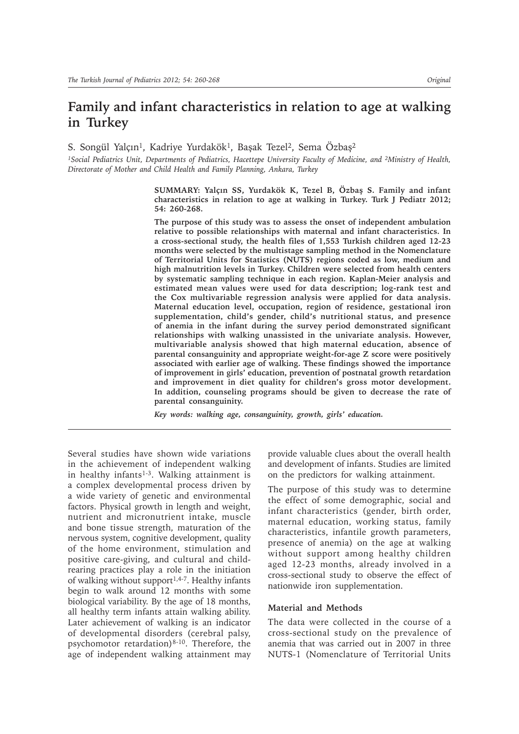# **Family and infant characteristics in relation to age at walking in Turkey**

S. Songül Yalçın<sup>1</sup>, Kadriye Yurdakök<sup>1</sup>, Başak Tezel<sup>2</sup>, Sema Özbaş<sup>2</sup>

*1Social Pediatrics Unit, Departments of Pediatrics, Hacettepe University Faculty of Medicine, and 2Ministry of Health, Directorate of Mother and Child Health and Family Planning, Ankara, Turkey*

> **SUMMARY: Yalçın SS, Yurdakök K, Tezel B, Özbaü S. Family and infant characteristics in relation to age at walking in Turkey. Turk J Pediatr 2012; 54: 260-268.**

> **The purpose of this study was to assess the onset of independent ambulation relative to possible relationships with maternal and infant characteristics. In a cross-sectional study, the health files of 1,553 Turkish children aged 12-23 months were selected by the multistage sampling method in the Nomenclature of Territorial Units for Statistics (NUTS) regions coded as low, medium and high malnutrition levels in Turkey. Children were selected from health centers by systematic sampling technique in each region. Kaplan-Meier analysis and estimated mean values were used for data description; log-rank test and the Cox multivariable regression analysis were applied for data analysis. Maternal education level, occupation, region of residence, gestational iron supplementation, child's gender, child's nutritional status, and presence of anemia in the infant during the survey period demonstrated significant relationships with walking unassisted in the univariate analysis. However, multivariable analysis showed that high maternal education, absence of parental consanguinity and appropriate weight-for-age Z score were positively associated with earlier age of walking. These findings showed the importance of improvement in girls' education, prevention of postnatal growth retardation and improvement in diet quality for children's gross motor development. In addition, counseling programs should be given to decrease the rate of parental consanguinity.**

*Key words: walking age, consanguinity, growth, girls' education.* 

Several studies have shown wide variations in the achievement of independent walking in healthy infants<sup>1-3</sup>. Walking attainment is a complex developmental process driven by a wide variety of genetic and environmental factors. Physical growth in length and weight, nutrient and micronutrient intake, muscle and bone tissue strength, maturation of the nervous system, cognitive development, quality of the home environment, stimulation and positive care-giving, and cultural and childrearing practices play a role in the initiation of walking without support<sup>1,4-7</sup>. Healthy infants begin to walk around 12 months with some biological variability. By the age of 18 months, all healthy term infants attain walking ability. Later achievement of walking is an indicator of developmental disorders (cerebral palsy, psychomotor retardation)8-10. Therefore, the age of independent walking attainment may provide valuable clues about the overall health and development of infants. Studies are limited on the predictors for walking attainment.

The purpose of this study was to determine the effect of some demographic, social and infant characteristics (gender, birth order, maternal education, working status, family characteristics, infantile growth parameters, presence of anemia) on the age at walking without support among healthy children aged 12-23 months, already involved in a cross-sectional study to observe the effect of nationwide iron supplementation.

# **Material and Methods**

The data were collected in the course of a cross-sectional study on the prevalence of anemia that was carried out in 2007 in three NUTS-1 (Nomenclature of Territorial Units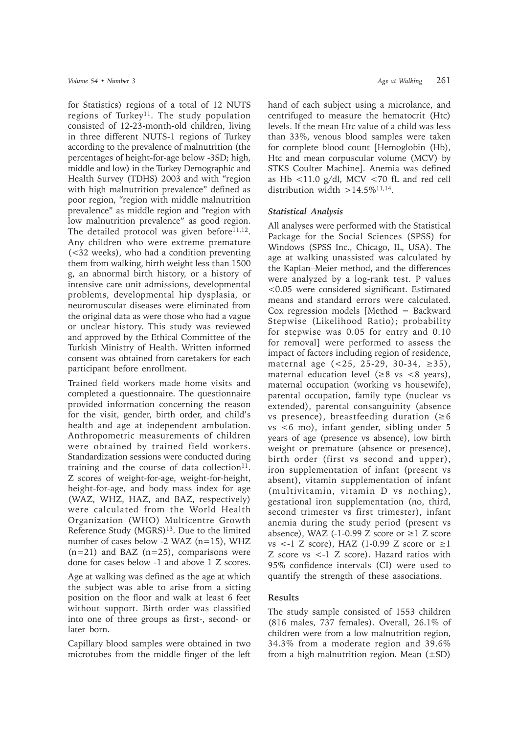for Statistics) regions of a total of 12 NUTS regions of Turkey<sup>11</sup>. The study population consisted of 12-23-month-old children, living in three different NUTS-1 regions of Turkey according to the prevalence of malnutrition (the percentages of height-for-age below -3SD; high, middle and low) in the Turkey Demographic and Health Survey (TDHS) 2003 and with "region with high malnutrition prevalence" defined as poor region, "region with middle malnutrition prevalence" as middle region and "region with low malnutrition prevalence" as good region. The detailed protocol was given before $11,12$ . Any children who were extreme premature (<32 weeks), who had a condition preventing them from walking, birth weight less than 1500 g, an abnormal birth history, or a history of intensive care unit admissions, developmental problems, developmental hip dysplasia, or neuromuscular diseases were eliminated from the original data as were those who had a vague or unclear history. This study was reviewed and approved by the Ethical Committee of the Turkish Ministry of Health. Written informed consent was obtained from caretakers for each participant before enrollment.

Trained field workers made home visits and completed a questionnaire. The questionnaire provided information concerning the reason for the visit, gender, birth order, and child's health and age at independent ambulation. Anthropometric measurements of children were obtained by trained field workers. Standardization sessions were conducted during training and the course of data collection $11$ . Z scores of weight-for-age, weight-for-height, height-for-age, and body mass index for age (WAZ, WHZ, HAZ, and BAZ, respectively) were calculated from the World Health Organization (WHO) Multicentre Growth Reference Study (MGRS)<sup>13</sup>. Due to the limited number of cases below -2 WAZ (n=15), WHZ  $(n=21)$  and BAZ  $(n=25)$ , comparisons were done for cases below -1 and above 1 Z scores.

Age at walking was defined as the age at which the subject was able to arise from a sitting position on the floor and walk at least 6 feet without support. Birth order was classified into one of three groups as first-, second- or later born.

Capillary blood samples were obtained in two microtubes from the middle finger of the left hand of each subject using a microlance, and centrifuged to measure the hematocrit (Htc) levels. If the mean Htc value of a child was less than 33%, venous blood samples were taken for complete blood count [Hemoglobin (Hb), Htc and mean corpuscular volume (MCV) by STKS Coulter Machine]. Anemia was defined as Hb  $\langle 11.0 \text{ g/dl} \rangle$ , MCV  $\langle 70 \text{ fL} \rangle$  and red cell distribution width  $>14.5\%$ <sup>11,14</sup>.

## *Statistical Analysis*

All analyses were performed with the Statistical Package for the Social Sciences (SPSS) for Windows (SPSS Inc., Chicago, IL, USA). The age at walking unassisted was calculated by the Kaplan–Meier method, and the differences were analyzed by a log-rank test. P values <0.05 were considered significant. Estimated means and standard errors were calculated. Cox regression models [Method  $=$  Backward Stepwise (Likelihood Ratio); probability for stepwise was 0.05 for entry and 0.10 for removal] were performed to assess the impact of factors including region of residence, maternal age  $(<25, 25-29, 30-34, \ge 35)$ , maternal education level  $(\geq 8$  vs  $\lt 8$  years), maternal occupation (working vs housewife), parental occupation, family type (nuclear vs extended), parental consanguinity (absence vs presence), breastfeeding duration  $(≥6)$ vs <6 mo), infant gender, sibling under 5 years of age (presence vs absence), low birth weight or premature (absence or presence), birth order (first vs second and upper), iron supplementation of infant (present vs absent), vitamin supplementation of infant (multivitamin, vitamin D vs nothing), gestational iron supplementation (no, third, second trimester vs first trimester), infant anemia during the study period (present vs absence), WAZ (-1-0.99 Z score or  $\geq$  Z score vs <-1 Z score), HAZ (1-0.99 Z score or  $\geq$ 1 Z score vs <-1 Z score). Hazard ratios with 95% confidence intervals (CI) were used to quantify the strength of these associations.

# **Results**

The study sample consisted of 1553 children (816 males, 737 females). Overall, 26.1% of children were from a low malnutrition region, 34.3% from a moderate region and 39.6% from a high malnutrition region. Mean  $(\pm SD)$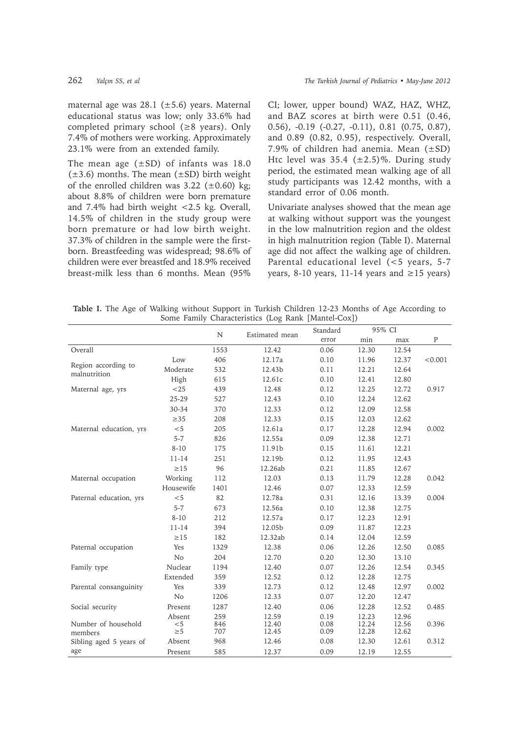maternal age was  $28.1$  ( $\pm 5.6$ ) years. Maternal educational status was low; only 33.6% had completed primary school  $(\geq 8 \text{ years})$ . Only 7.4% of mothers were working. Approximately 23.1% were from an extended family.

The mean age  $(\pm SD)$  of infants was 18.0  $(\pm 3.6)$  months. The mean  $(\pm SD)$  birth weight of the enrolled children was  $3.22$  ( $\pm 0.60$ ) kg; about 8.8% of children were born premature and 7.4% had birth weight <2.5 kg. Overall, 14.5% of children in the study group were born premature or had low birth weight. 37.3% of children in the sample were the firstborn. Breastfeeding was widespread; 98.6% of children were ever breastfed and 18.9% received breast-milk less than 6 months. Mean (95%

CI; lower, upper bound) WAZ, HAZ, WHZ, and BAZ scores at birth were 0.51 (0.46, 0.56), -0.19 (-0.27, -0.11), 0.81 (0.75, 0.87), and 0.89 (0.82, 0.95), respectively. Overall, 7.9% of children had anemia. Mean  $(\pm SD)$ Htc level was  $35.4$  ( $\pm 2.5$ )%. During study period, the estimated mean walking age of all study participants was 12.42 months, with a standard error of 0.06 month.

Univariate analyses showed that the mean age at walking without support was the youngest in the low malnutrition region and the oldest in high malnutrition region (Table I). Maternal age did not affect the walking age of children. Parental educational level (<5 years, 5-7 years, 8-10 years, 11-14 years and  $\geq$ 15 years)

**Table I.** The Age of Walking without Support in Turkish Children 12-23 Months of Age According to Some Family Characteristics (Log Rank [Mantel-Cox])

|                                     |                 |            |                | Standard | 95% CI |       |              |
|-------------------------------------|-----------------|------------|----------------|----------|--------|-------|--------------|
|                                     |                 | N          | Estimated mean | error    | min    | max   | $\mathbf{P}$ |
| Overall                             |                 | 1553       | 12.42          | 0.06     | 12.30  | 12.54 |              |
|                                     | Low             | 406        | 12.17a         | 0.10     | 11.96  | 12.37 | < 0.001      |
| Region according to<br>malnutrition | Moderate        | 532        | 12.43b         | 0.11     | 12.21  | 12.64 |              |
|                                     | High            | 615        | 12.61c         | 0.10     | 12.41  | 12.80 |              |
| Maternal age, yrs                   | $<$ 25          | 439        | 12.48          | 0.12     | 12.25  | 12.72 | 0.917        |
|                                     | 25-29           | 527        | 12.43          | 0.10     | 12.24  | 12.62 |              |
|                                     | 30-34           | 370        | 12.33          | 0.12     | 12.09  | 12.58 |              |
|                                     | $\geq$ 35       | 208        | 12.33          | 0.15     | 12.03  | 12.62 |              |
| Maternal education, yrs             | < 5             | 205        | 12.61a         | 0.17     | 12.28  | 12.94 | 0.002        |
|                                     | $5 - 7$         | 826        | 12.55a         | 0.09     | 12.38  | 12.71 |              |
|                                     | $8 - 10$        | 175        | 11.91b         | 0.15     | 11.61  | 12.21 |              |
|                                     | $11 - 14$       | 251        | 12.19b         | 0.12     | 11.95  | 12.43 |              |
|                                     | $\geq$ 15       | 96         | 12.26ab        | 0.21     | 11.85  | 12.67 |              |
| Maternal occupation                 | Working         | 112        | 12.03          | 0.13     | 11.79  | 12.28 | 0.042        |
|                                     | Housewife       | 1401       | 12.46          | 0.07     | 12.33  | 12.59 |              |
| Paternal education, yrs             | < 5             | 82         | 12.78a         | 0.31     | 12.16  | 13.39 | 0.004        |
|                                     | $5 - 7$         | 673        | 12.56a         | 0.10     | 12.38  | 12.75 |              |
|                                     | $8 - 10$        | 212        | 12.57a         | 0.17     | 12.23  | 12.91 |              |
|                                     | 11-14           | 394        | 12.05b         | 0.09     | 11.87  | 12.23 |              |
|                                     | $\geq$ 15       | 182        | 12.32ab        | 0.14     | 12.04  | 12.59 |              |
| Paternal occupation                 | Yes             | 1329       | 12.38          | 0.06     | 12.26  | 12.50 | 0.085        |
|                                     | N <sub>o</sub>  | 204        | 12.70          | 0.20     | 12.30  | 13.10 |              |
| Family type                         | Nuclear         | 1194       | 12.40          | 0.07     | 12.26  | 12.54 | 0.345        |
|                                     | Extended        | 359        | 12.52          | 0.12     | 12.28  | 12.75 |              |
| Parental consanguinity              | Yes             | 339        | 12.73          | 0.12     | 12.48  | 12.97 | 0.002        |
|                                     | N <sub>o</sub>  | 1206       | 12.33          | 0.07     | 12.20  | 12.47 |              |
| Social security                     | Present         | 1287       | 12.40          | 0.06     | 12.28  | 12.52 | 0.485        |
|                                     | Absent          | 259        | 12.59          | 0.19     | 12.23  | 12.96 |              |
| Number of household                 | < 5<br>$\geq 5$ | 846<br>707 | 12.40          | 0.08     | 12.24  | 12.56 | 0.396        |
| members                             |                 |            | 12.45          | 0.09     | 12.28  | 12.62 |              |
| Sibling aged 5 years of             | Absent          | 968        | 12.46          | 0.08     | 12.30  | 12.61 | 0.312        |
| age                                 | Present         | 585        | 12.37          | 0.09     | 12.19  | 12.55 |              |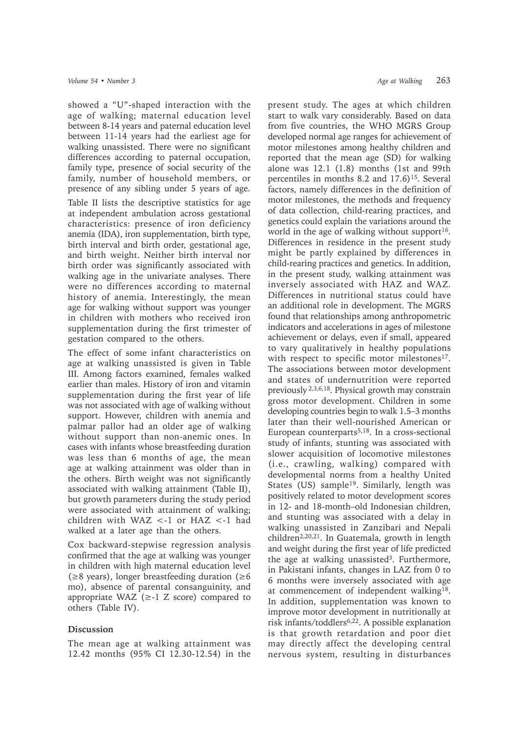showed a "U"-shaped interaction with the age of walking; maternal education level between 8-14 years and paternal education level between 11-14 years had the earliest age for walking unassisted. There were no significant differences according to paternal occupation, family type, presence of social security of the family, number of household members, or presence of any sibling under 5 years of age.

Table II lists the descriptive statistics for age at independent ambulation across gestational characteristics: presence of iron deficiency anemia (IDA), iron supplementation, birth type, birth interval and birth order, gestational age, and birth weight. Neither birth interval nor birth order was significantly associated with walking age in the univariate analyses. There were no differences according to maternal history of anemia. Interestingly, the mean age for walking without support was younger in children with mothers who received iron supplementation during the first trimester of gestation compared to the others.

The effect of some infant characteristics on age at walking unassisted is given in Table III. Among factors examined, females walked earlier than males. History of iron and vitamin supplementation during the first year of life was not associated with age of walking without support. However, children with anemia and palmar pallor had an older age of walking without support than non-anemic ones. In cases with infants whose breastfeeding duration was less than 6 months of age, the mean age at walking attainment was older than in the others. Birth weight was not significantly associated with walking attainment (Table II), but growth parameters during the study period were associated with attainment of walking; children with WAZ <-1 or HAZ <-1 had walked at a later age than the others.

Cox backward-stepwise regression analysis confirmed that the age at walking was younger in children with high maternal education level  $(\geq 8$  years), longer breastfeeding duration ( $\geq 6$ ) mo), absence of parental consanguinity, and appropriate WAZ  $(\geq -1)$  Z score) compared to others (Table IV).

# **Discussion**

The mean age at walking attainment was 12.42 months (95% CI 12.30-12.54) in the present study. The ages at which children start to walk vary considerably. Based on data from five countries, the WHO MGRS Group developed normal age ranges for achievement of motor milestones among healthy children and reported that the mean age (SD) for walking alone was 12.1 (1.8) months (1st and 99th percentiles in months 8.2 and 17.6)15. Several factors, namely differences in the definition of motor milestones, the methods and frequency of data collection, child-rearing practices, and genetics could explain the variations around the world in the age of walking without support<sup>16</sup>. Differences in residence in the present study might be partly explained by differences in child-rearing practices and genetics. In addition, in the present study, walking attainment was inversely associated with HAZ and WAZ. Differences in nutritional status could have an additional role in development. The MGRS found that relationships among anthropometric indicators and accelerations in ages of milestone achievement or delays, even if small, appeared to vary qualitatively in healthy populations with respect to specific motor milestones<sup>17</sup>. The associations between motor development and states of undernutrition were reported previously 2,3,6,18. Physical growth may constrain gross motor development. Children in some developing countries begin to walk 1.5–3 months later than their well-nourished American or European counterparts<sup>5,18</sup>. In a cross-sectional study of infants, stunting was associated with slower acquisition of locomotive milestones (i.e., crawling, walking) compared with developmental norms from a healthy United States (US) sample<sup>19</sup>. Similarly, length was positively related to motor development scores in 12- and 18-month–old Indonesian children, and stunting was associated with a delay in walking unassisted in Zanzibari and Nepali children2,20,21. In Guatemala, growth in length and weight during the first year of life predicted the age at walking unassisted<sup>3</sup>. Furthermore, in Pakistani infants, changes in LAZ from 0 to 6 months were inversely associated with age at commencement of independent walking18. In addition, supplementation was known to improve motor development in nutritionally at risk infants/toddlers<sup>6,22</sup>. A possible explanation is that growth retardation and poor diet may directly affect the developing central nervous system, resulting in disturbances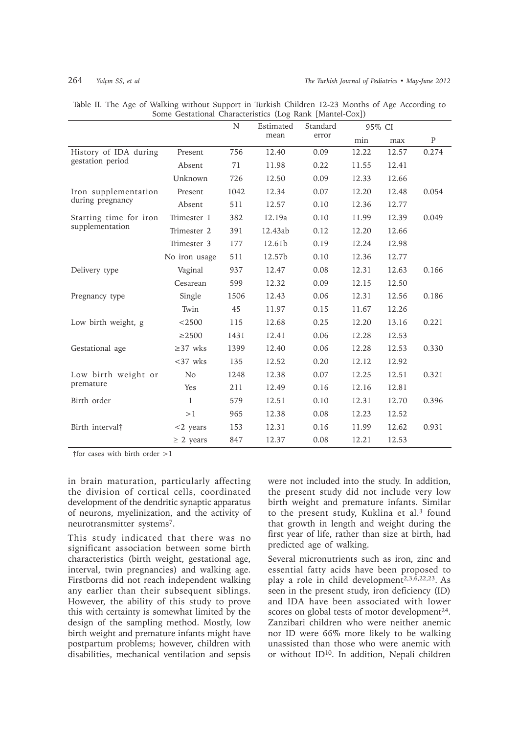|                                           |                | N<br>Standard<br>Estimated |         |      | 95% CI |             |       |
|-------------------------------------------|----------------|----------------------------|---------|------|--------|-------------|-------|
|                                           |                | mean                       | error   | min  | max    | $\mathbf P$ |       |
| History of IDA during<br>gestation period | Present        | 756                        | 12.40   | 0.09 | 12.22  | 12.57       | 0.274 |
|                                           | Absent         | 71                         | 11.98   | 0.22 | 11.55  | 12.41       |       |
|                                           | Unknown        | 726                        | 12.50   | 0.09 | 12.33  | 12.66       |       |
| Iron supplementation<br>during pregnancy  | Present        | 1042                       | 12.34   | 0.07 | 12.20  | 12.48       | 0.054 |
|                                           | Absent         | 511                        | 12.57   | 0.10 | 12.36  | 12.77       |       |
| Starting time for iron                    | Trimester 1    | 382                        | 12.19a  | 0.10 | 11.99  | 12.39       | 0.049 |
| supplementation                           | Trimester 2    | 391                        | 12.43ab | 0.12 | 12.20  | 12.66       |       |
|                                           | Trimester 3    | 177                        | 12.61b  | 0.19 | 12.24  | 12.98       |       |
|                                           | No iron usage  | 511                        | 12.57b  | 0.10 | 12.36  | 12.77       |       |
| Delivery type                             | Vaginal        | 937                        | 12.47   | 0.08 | 12.31  | 12.63       | 0.166 |
|                                           | Cesarean       | 599                        | 12.32   | 0.09 | 12.15  | 12.50       |       |
| Pregnancy type                            | Single         | 1506                       | 12.43   | 0.06 | 12.31  | 12.56       | 0.186 |
|                                           | Twin           | 45                         | 11.97   | 0.15 | 11.67  | 12.26       |       |
| Low birth weight, g                       | $<$ 2500       | 115                        | 12.68   | 0.25 | 12.20  | 13.16       | 0.221 |
|                                           | $\geq$ 2500    | 1431                       | 12.41   | 0.06 | 12.28  | 12.53       |       |
| Gestational age                           | $\geq$ 37 wks  | 1399                       | 12.40   | 0.06 | 12.28  | 12.53       | 0.330 |
|                                           | $<$ 37 wks     | 135                        | 12.52   | 0.20 | 12.12  | 12.92       |       |
| Low birth weight or<br>premature          | N <sub>o</sub> | 1248                       | 12.38   | 0.07 | 12.25  | 12.51       | 0.321 |
|                                           | Yes            | 211                        | 12.49   | 0.16 | 12.16  | 12.81       |       |
| Birth order                               | 1              | 579                        | 12.51   | 0.10 | 12.31  | 12.70       | 0.396 |
|                                           | >1             | 965                        | 12.38   | 0.08 | 12.23  | 12.52       |       |
| Birth interval†                           | $<$ 2 years    | 153                        | 12.31   | 0.16 | 11.99  | 12.62       | 0.931 |
|                                           | $\geq$ 2 years | 847                        | 12.37   | 0.08 | 12.21  | 12.53       |       |

Table II. The Age of Walking without Support in Turkish Children 12-23 Months of Age According to Some Gestational Characteristics (Log Rank [Mantel-Cox])

†for cases with birth order >1

in brain maturation, particularly affecting the division of cortical cells, coordinated development of the dendritic synaptic apparatus of neurons, myelinization, and the activity of neurotransmitter systems7.

This study indicated that there was no significant association between some birth characteristics (birth weight, gestational age, interval, twin pregnancies) and walking age. Firstborns did not reach independent walking any earlier than their subsequent siblings. However, the ability of this study to prove this with certainty is somewhat limited by the design of the sampling method. Mostly, low birth weight and premature infants might have postpartum problems; however, children with disabilities, mechanical ventilation and sepsis

were not included into the study. In addition, the present study did not include very low birth weight and premature infants. Similar to the present study, Kuklina et al.<sup>3</sup> found that growth in length and weight during the first year of life, rather than size at birth, had predicted age of walking.

Several micronutrients such as iron, zinc and essential fatty acids have been proposed to play a role in child development<sup>2,3, $\overline{6}$ ,22,23. As</sup> seen in the present study, iron deficiency (ID) and IDA have been associated with lower scores on global tests of motor development<sup>24</sup>. Zanzibari children who were neither anemic nor ID were 66% more likely to be walking unassisted than those who were anemic with or without ID10. In addition, Nepali children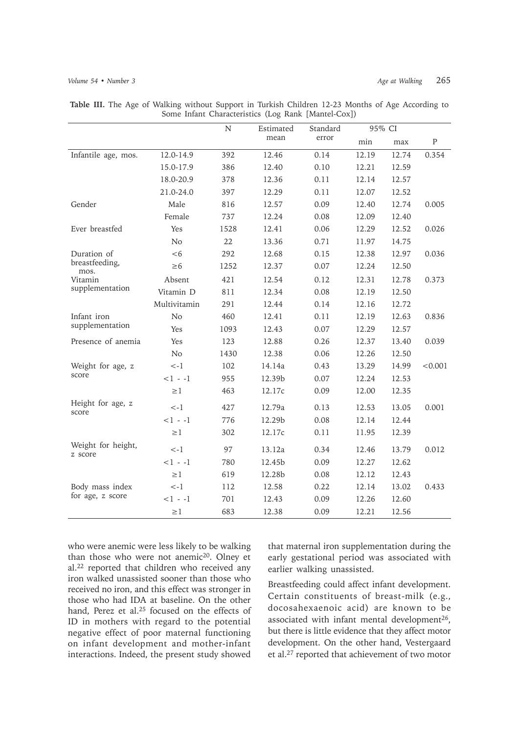|                                |                | $\mathbf N$ | Estimated | Standard | 95% CI |       |           |
|--------------------------------|----------------|-------------|-----------|----------|--------|-------|-----------|
|                                |                |             | mean      | error    | min    | max   | ${\bf P}$ |
| Infantile age, mos.            | 12.0-14.9      | 392         | 12.46     | 0.14     | 12.19  | 12.74 | 0.354     |
|                                | 15.0-17.9      | 386         | 12.40     | 0.10     | 12.21  | 12.59 |           |
|                                | 18.0-20.9      | 378         | 12.36     | 0.11     | 12.14  | 12.57 |           |
|                                | 21.0-24.0      | 397         | 12.29     | 0.11     | 12.07  | 12.52 |           |
| Gender                         | Male           | 816         | 12.57     | 0.09     | 12.40  | 12.74 | 0.005     |
|                                | Female         | 737         | 12.24     | 0.08     | 12.09  | 12.40 |           |
| Ever breastfed                 | Yes            | 1528        | 12.41     | 0.06     | 12.29  | 12.52 | 0.026     |
|                                | N <sub>o</sub> | 22          | 13.36     | 0.71     | 11.97  | 14.75 |           |
| Duration of                    | <6             | 292         | 12.68     | 0.15     | 12.38  | 12.97 | 0.036     |
| breastfeeding,<br>mos.         | $\geq 6$       | 1252        | 12.37     | 0.07     | 12.24  | 12.50 |           |
| Vitamin                        | Absent         | 421         | 12.54     | 0.12     | 12.31  | 12.78 | 0.373     |
| supplementation                | Vitamin D      | 811         | 12.34     | 0.08     | 12.19  | 12.50 |           |
|                                | Multivitamin   | 291         | 12.44     | 0.14     | 12.16  | 12.72 |           |
| Infant iron<br>supplementation | No             | 460         | 12.41     | 0.11     | 12.19  | 12.63 | 0.836     |
|                                | Yes            | 1093        | 12.43     | 0.07     | 12.29  | 12.57 |           |
| Presence of anemia             | Yes            | 123         | 12.88     | 0.26     | 12.37  | 13.40 | 0.039     |
|                                | No             | 1430        | 12.38     | 0.06     | 12.26  | 12.50 |           |
| Weight for age, z<br>score     | $\lt$ -1       | 102         | 14.14a    | 0.43     | 13.29  | 14.99 | < 0.001   |
|                                | $<1 - -1$      | 955         | 12.39b    | 0.07     | 12.24  | 12.53 |           |
|                                | $\geq$ 1       | 463         | 12.17c    | 0.09     | 12.00  | 12.35 |           |
| Height for age, z<br>score     | $\lt$ -1       | 427         | 12.79a    | 0.13     | 12.53  | 13.05 | 0.001     |
|                                | $-1 - -1$      | 776         | 12.29b    | 0.08     | 12.14  | 12.44 |           |
|                                | $\geq$ 1       | 302         | 12.17c    | 0.11     | 11.95  | 12.39 |           |
| Weight for height,<br>z score  | $\lt$ -1       | 97          | 13.12a    | 0.34     | 12.46  | 13.79 | 0.012     |
|                                | $<1 - 1$       | 780         | 12.45b    | 0.09     | 12.27  | 12.62 |           |
|                                | $\geq\!1$      | 619         | 12.28b    | 0.08     | 12.12  | 12.43 |           |
| Body mass index                | $\lt$ -1       | 112         | 12.58     | 0.22     | 12.14  | 13.02 | 0.433     |
| for age, z score               | $<$ 1 - -1     | 701         | 12.43     | 0.09     | 12.26  | 12.60 |           |
|                                | $\geq$ 1       | 683         | 12.38     | 0.09     | 12.21  | 12.56 |           |

**Table III.** The Age of Walking without Support in Turkish Children 12-23 Months of Age According to Some Infant Characteristics (Log Rank [Mantel-Cox])

who were anemic were less likely to be walking than those who were not anemic<sup>20</sup>. Olney et al.22 reported that children who received any iron walked unassisted sooner than those who received no iron, and this effect was stronger in those who had IDA at baseline. On the other hand, Perez et al.<sup>25</sup> focused on the effects of ID in mothers with regard to the potential negative effect of poor maternal functioning on infant development and mother-infant interactions. Indeed, the present study showed

that maternal iron supplementation during the early gestational period was associated with earlier walking unassisted.

Breastfeeding could affect infant development. Certain constituents of breast-milk (e.g., docosahexaenoic acid) are known to be associated with infant mental development<sup>26</sup>. but there is little evidence that they affect motor development. On the other hand, Vestergaard et al.27 reported that achievement of two motor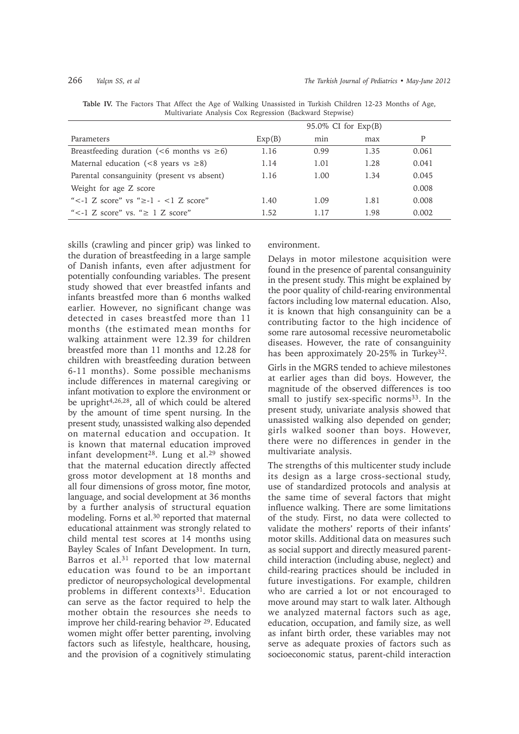|                                                      | $95.0\%$ CI for $Exp(B)$ |      |      |       |  |
|------------------------------------------------------|--------------------------|------|------|-------|--|
| Parameters                                           | Exp(B)                   | min  | max  | P     |  |
| Breastfeeding duration (<6 months vs $\geq 6$ )      | 1.16                     | 0.99 | 1.35 | 0.061 |  |
| Maternal education (<8 years vs $\geq$ 8)            | 1.14                     | 1.01 | 1.28 | 0.041 |  |
| Parental consanguinity (present vs absent)           | 1.16                     | 1.00 | 1.34 | 0.045 |  |
| Weight for age Z score                               |                          |      |      | 0.008 |  |
| " $\lt$ -1 Z score" vs " $\ge$ -1 - $\lt$ 1 Z score" | 1.40                     | 1.09 | 1.81 | 0.008 |  |
| " $\lt$ -1 Z score" vs. " $> 1$ Z score"             | 1.52.                    | 117  | 1.98 | 0.002 |  |

**Table IV.** The Factors That Affect the Age of Walking Unassisted in Turkish Children 12-23 Months of Age, Multivariate Analysis Cox Regression (Backward Stepwise)

skills (crawling and pincer grip) was linked to the duration of breastfeeding in a large sample of Danish infants, even after adjustment for potentially confounding variables. The present study showed that ever breastfed infants and infants breastfed more than 6 months walked earlier. However, no significant change was detected in cases breastfed more than 11 months (the estimated mean months for walking attainment were 12.39 for children breastfed more than 11 months and 12.28 for children with breastfeeding duration between 6-11 months). Some possible mechanisms include differences in maternal caregiving or infant motivation to explore the environment or be upright4,26,28, all of which could be altered by the amount of time spent nursing. In the present study, unassisted walking also depended on maternal education and occupation. It is known that maternal education improved infant development28. Lung et al.29 showed that the maternal education directly affected gross motor development at 18 months and all four dimensions of gross motor, fine motor, language, and social development at 36 months by a further analysis of structural equation modeling. Forns et al.30 reported that maternal educational attainment was strongly related to child mental test scores at 14 months using Bayley Scales of Infant Development. In turn, Barros et al.31 reported that low maternal education was found to be an important predictor of neuropsychological developmental problems in different contexts<sup>31</sup>. Education can serve as the factor required to help the mother obtain the resources she needs to improve her child-rearing behavior 29. Educated women might offer better parenting, involving factors such as lifestyle, healthcare, housing, and the provision of a cognitively stimulating

environment.

Delays in motor milestone acquisition were found in the presence of parental consanguinity in the present study. This might be explained by the poor quality of child-rearing environmental factors including low maternal education. Also, it is known that high consanguinity can be a contributing factor to the high incidence of some rare autosomal recessive neurometabolic diseases. However, the rate of consanguinity has been approximately 20-25% in Turkey<sup>32</sup>.

Girls in the MGRS tended to achieve milestones at earlier ages than did boys. However, the magnitude of the observed differences is too small to justify sex-specific norms<sup>33</sup>. In the present study, univariate analysis showed that unassisted walking also depended on gender; girls walked sooner than boys. However, there were no differences in gender in the multivariate analysis.

The strengths of this multicenter study include its design as a large cross-sectional study, use of standardized protocols and analysis at the same time of several factors that might influence walking. There are some limitations of the study. First, no data were collected to validate the mothers' reports of their infants' motor skills. Additional data on measures such as social support and directly measured parentchild interaction (including abuse, neglect) and child-rearing practices should be included in future investigations. For example, children who are carried a lot or not encouraged to move around may start to walk later. Although we analyzed maternal factors such as age, education, occupation, and family size, as well as infant birth order, these variables may not serve as adequate proxies of factors such as socioeconomic status, parent-child interaction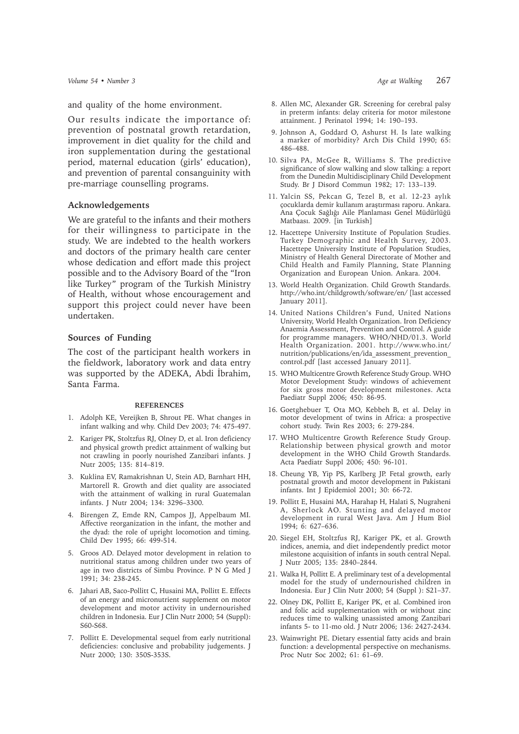and quality of the home environment.

Our results indicate the importance of: prevention of postnatal growth retardation, improvement in diet quality for the child and iron supplementation during the gestational period, maternal education (girls' education), and prevention of parental consanguinity with pre-marriage counselling programs.

## **Acknowledgements**

We are grateful to the infants and their mothers for their willingness to participate in the study. We are indebted to the health workers and doctors of the primary health care center whose dedication and effort made this project possible and to the Advisory Board of the "Iron like Turkey" program of the Turkish Ministry of Health, without whose encouragement and support this project could never have been undertaken.

## **Sources of Funding**

The cost of the participant health workers in the fieldwork, laboratory work and data entry was supported by the ADEKA, Abdi İbrahim, Santa Farma.

### **REFERENCES**

- 1. Adolph KE, Vereijken B, Shrout PE. What changes in infant walking and why. Child Dev 2003; 74: 475-497.
- 2. Kariger PK, Stoltzfus RJ, Olney D, et al. Iron deficiency and physical growth predict attainment of walking but not crawling in poorly nourished Zanzibari infants. J Nutr 2005; 135: 814–819.
- 3. Kuklina EV, Ramakrishnan U, Stein AD, Barnhart HH, Martorell R. Growth and diet quality are associated with the attainment of walking in rural Guatemalan infants. J Nutr 2004; 134: 3296–3300.
- 4. Birengen Z, Emde RN, Campos JJ, Appelbaum MI. Affective reorganization in the infant, the mother and the dyad: the role of upright locomotion and timing. Child Dev 1995; 66: 499-514.
- 5. Groos AD. Delayed motor development in relation to nutritional status among children under two years of age in two districts of Simbu Province. P N G Med J 1991; 34: 238-245.
- 6. Jahari AB, Saco-Pollitt C, Husaini MA, Pollitt E. Effects of an energy and micronutrient supplement on motor development and motor activity in undernourished children in Indonesia. Eur J Clin Nutr 2000; 54 (Suppl): S60-S68.
- 7. Pollitt E. Developmental sequel from early nutritional deficiencies: conclusive and probability judgements. J Nutr 2000; 130: 350S-353S.
- 8. Allen MC, Alexander GR. Screening for cerebral palsy in preterm infants: delay criteria for motor milestone attainment. J Perinatol 1994; 14: 190–193.
- 9. Johnson A, Goddard O, Ashurst H. Is late walking a marker of morbidity? Arch Dis Child 1990; 65: 486–488.
- 10. Silva PA, McGee R, Williams S. The predictive significance of slow walking and slow talking: a report from the Dunedin Multidisciplinary Child Development Study. Br J Disord Commun 1982; 17: 133–139.
- 11. Yalcin SS, Pekcan G, Tezel B, et al. 12-23 aylık çocuklarda demir kullanım araştırması raporu. Ankara. Ana Çocuk Sağlığı Aile Planlaması Genel Müdürlüğü Matbaası. 2009. [in Turkish]
- 12. Hacettepe University Institute of Population Studies. Turkey Demographic and Health Survey, 2003. Hacettepe University Institute of Population Studies, Ministry of Health General Directorate of Mother and Child Health and Family Planning, State Planning Organization and European Union. Ankara. 2004.
- 13. World Health Organization. Child Growth Standards. http://who.int/childgrowth/software/en/ [last accessed January 2011].
- 14. United Nations Children's Fund, United Nations University, World Health Organization. Iron Deficiency Anaemia Assessment, Prevention and Control. A guide for programme managers. WHO/NHD/01.3. World Health Organization. 2001. http://www.who.int/ nutrition/publications/en/ida\_assessment\_prevention\_ control.pdf [last accessed January 2011].
- 15. WHO Multicentre Growth Reference Study Group. WHO Motor Development Study: windows of achievement for six gross motor development milestones. Acta Paediatr Suppl 2006; 450: 86-95.
- 16. Goetghebuer T, Ota MO, Kebbeh B, et al. Delay in motor development of twins in Africa: a prospective cohort study. Twin Res 2003; 6: 279-284.
- 17. WHO Multicentre Growth Reference Study Group. Relationship between physical growth and motor development in the WHO Child Growth Standards. Acta Paediatr Suppl 2006; 450: 96-101.
- 18. Cheung YB, Yip PS, Karlberg JP. Fetal growth, early postnatal growth and motor development in Pakistani infants. Int J Epidemiol 2001; 30: 66-72.
- 19. Pollitt E, Husaini MA, Harahap H, Halati S, Nugraheni A, Sherlock AO. Stunting and delayed motor development in rural West Java. Am J Hum Biol 1994; 6: 627–636.
- 20. Siegel EH, Stoltzfus RJ, Kariger PK, et al. Growth indices, anemia, and diet independently predict motor milestone acquisition of infants in south central Nepal. J Nutr 2005; 135: 2840–2844.
- 21. Walka H, Pollitt E. A preliminary test of a developmental model for the study of undernourished children in Indonesia. Eur J Clin Nutr 2000; 54 (Suppl ): S21–37.
- 22. Olney DK, Pollitt E, Kariger PK, et al. Combined iron and folic acid supplementation with or without zinc reduces time to walking unassisted among Zanzibari infants 5- to 11-mo old. J Nutr 2006; 136: 2427-2434.
- 23. Wainwright PE. Dietary essential fatty acids and brain function: a developmental perspective on mechanisms. Proc Nutr Soc 2002; 61: 61–69.